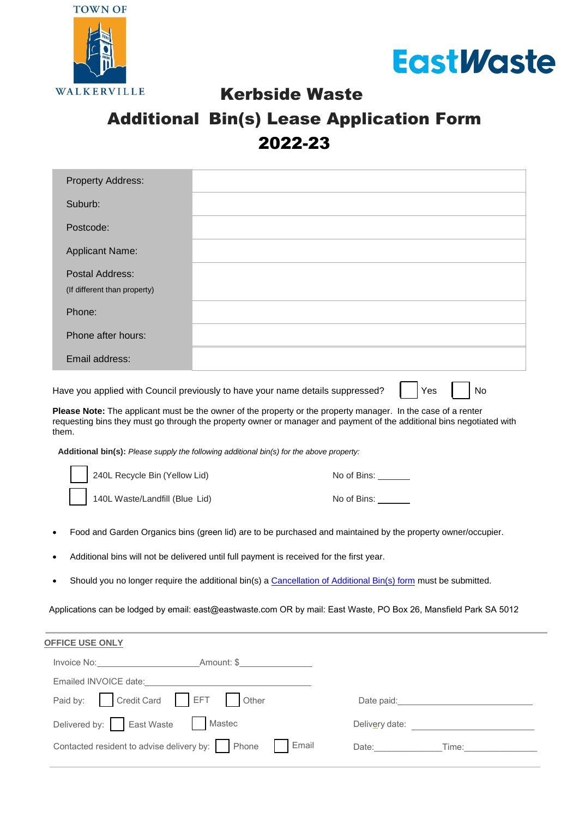



Kerbside Waste

## Additional Bin(s) Lease Application Form 2022-23

| Property Address:            |  |
|------------------------------|--|
| Suburb:                      |  |
| Postcode:                    |  |
| <b>Applicant Name:</b>       |  |
| Postal Address:              |  |
| (If different than property) |  |
| Phone:                       |  |
| Phone after hours:           |  |
| Email address:               |  |
|                              |  |

Have you applied with Council previously to have your name details suppressed?  $\|\cdot\|$  Yes  $\|\cdot\|$  No

**Please Note:** The applicant must be the owner of the property or the property manager. In the case of a renter requesting bins they must go through the property owner or manager and payment of the additional bins negotiated with them.

**Additional bin(s):** *Please supply the following additional bin(s) for the above property:* 

| 240L Recycle Bin (Yellow Lid)  | No of Bins: |
|--------------------------------|-------------|
| 140L Waste/Landfill (Blue Lid) | No of Bins: |

- Food and Garden Organics bins (green lid) are to be purchased and maintained by the property owner/occupier.
- Additional bins will not be delivered until full payment is received for the first year.
- Should you no longer require the additional bin(s) [a Cancellation of Additional Bin\(s\) form](https://www.eastwaste.com.au/wp-content/uploads/2022/06/Cancellation-of-Additional-Bins-ToW-2022.pdf) must be submitted.

Applications can be lodged by email: [east@eastwaste.com O](mailto:east@eastwaste.com)R by mail: East Waste, PO Box 26, Mansfield Park SA 5012

| <b>OFFICE USE ONLY</b>                                                                                                                                                                                                         |                                                                                                                                                                                                                                |
|--------------------------------------------------------------------------------------------------------------------------------------------------------------------------------------------------------------------------------|--------------------------------------------------------------------------------------------------------------------------------------------------------------------------------------------------------------------------------|
| Invoice No: <b>Amount: \$</b>                                                                                                                                                                                                  |                                                                                                                                                                                                                                |
| Emailed INVOICE date: Note: Note: Note: Note: Note: Note: Note: Note: Note: Note: Note: Note: Note: Note: Note: Note: Note: Note: Note: Note: Note: Note: Note: Note: Note: Note: Note: Note: Note: Note: Note: Note: Note: No |                                                                                                                                                                                                                                |
| Paid by: Credit Card EFT Other                                                                                                                                                                                                 | Date paid: The contract of the contract of the contract of the contract of the contract of the contract of the contract of the contract of the contract of the contract of the contract of the contract of the contract of the |
| Delivered by: East Waste   Mastec                                                                                                                                                                                              | Delivery date:                                                                                                                                                                                                                 |
| Contacted resident to advise delivery by: Phone<br>  Email                                                                                                                                                                     | Date:<br>Time:                                                                                                                                                                                                                 |
|                                                                                                                                                                                                                                |                                                                                                                                                                                                                                |